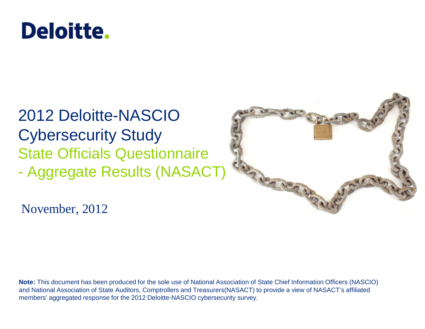## **Deloitte.**

## 2012 Deloitte-NASCIO Cybersecurity Study State Officials Questionnaire - Aggregate Results (NASACT)



November, 2012

**Note:** This document has been produced for the sole use of National Association of State Chief Information Officers (NASCIO) and National Association of State Auditors, Comptrollers and Treasurers(NASACT) to provide a view of NASACT's affiliated members' aggregated response for the 2012 Deloitte-NASCIO cybersecurity survey.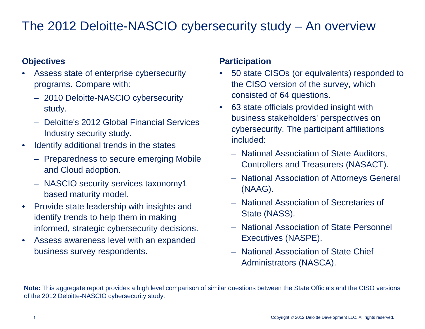#### The 2012 Deloitte-NASCIO cybersecurity study – An overview

#### **Objectives**

- Assess state of enterprise cybersecurity programs. Compare with:
	- 2010 Deloitte-NASCIO cybersecurity study.
	- Deloitte's 2012 Global Financial Services Industry security study.
- Identify additional trends in the states
	- Preparedness to secure emerging Mobile and Cloud adoption.
	- NASCIO security services taxonomy1 based maturity model.
- Provide state leadership with insights and identify trends to help them in making informed, strategic cybersecurity decisions.
- Assess awareness level with an expanded business survey respondents.

#### **Participation**

- 50 state CISOs (or equivalents) responded to the CISO version of the survey, which consisted of 64 questions.
- 63 state officials provided insight with business stakeholders' perspectives on cybersecurity. The participant affiliations included:
	- National Association of State Auditors, Controllers and Treasurers (NASACT).
	- National Association of Attorneys General (NAAG).
	- National Association of Secretaries of State (NASS).
	- National Association of State Personnel Executives (NASPE).
	- National Association of State Chief Administrators (NASCA).

**Note:** This aggregate report provides a high level comparison of similar questions between the State Officials and the CISO versions of the 2012 Deloitte-NASCIO cybersecurity study.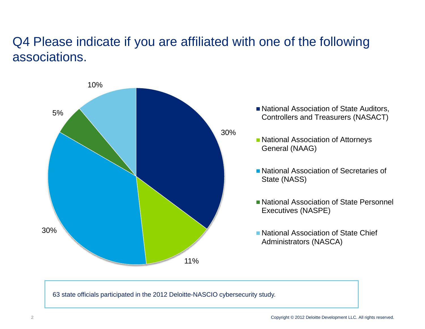#### Q4 Please indicate if you are affiliated with one of the following associations.



63 state officials participated in the 2012 Deloitte-NASCIO cybersecurity study.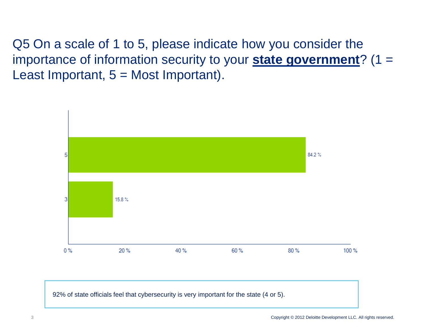Q5 On a scale of 1 to 5, please indicate how you consider the importance of information security to your **state government**? (1 = Least Important,  $5 =$  Most Important).



92% of state officials feel that cybersecurity is very important for the state (4 or 5).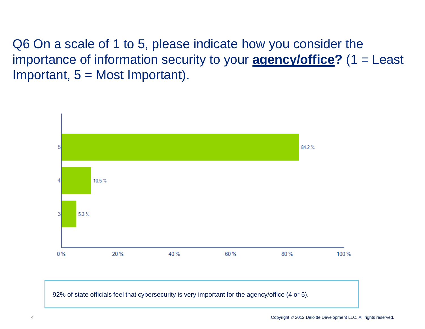Q6 On a scale of 1 to 5, please indicate how you consider the importance of information security to your **agency/office?** (1 = Least Important,  $5 =$  Most Important).



92% of state officials feel that cybersecurity is very important for the agency/office (4 or 5).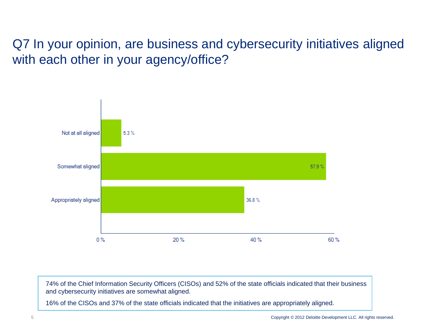#### Q7 In your opinion, are business and cybersecurity initiatives aligned with each other in your agency/office?



74% of the Chief Information Security Officers (CISOs) and 52% of the state officials indicated that their business and cybersecurity initiatives are somewhat aligned.

16% of the CISOs and 37% of the state officials indicated that the initiatives are appropriately aligned.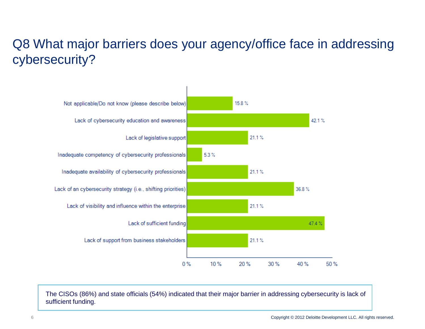### Q8 What major barriers does your agency/office face in addressing cybersecurity?



The CISOs (86%) and state officials (54%) indicated that their major barrier in addressing cybersecurity is lack of sufficient funding.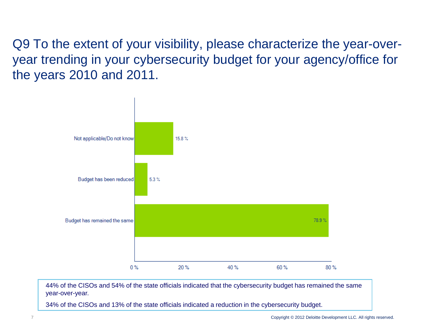Q9 To the extent of your visibility, please characterize the year-overyear trending in your cybersecurity budget for your agency/office for the years 2010 and 2011.



44% of the CISOs and 54% of the state officials indicated that the cybersecurity budget has remained the same year-over-year.

34% of the CISOs and 13% of the state officials indicated a reduction in the cybersecurity budget.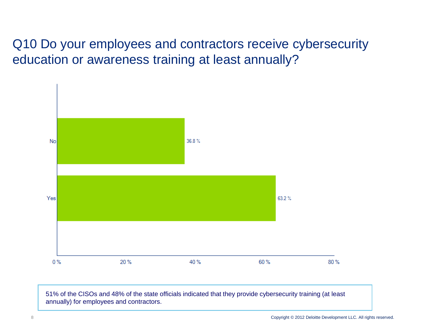Q10 Do your employees and contractors receive cybersecurity education or awareness training at least annually?



51% of the CISOs and 48% of the state officials indicated that they provide cybersecurity training (at least annually) for employees and contractors.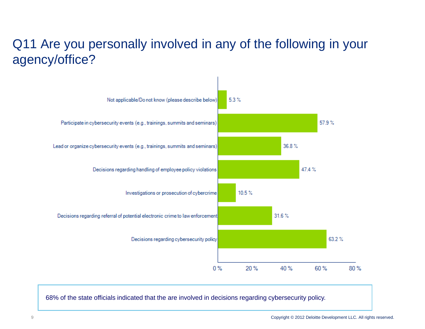### Q11 Are you personally involved in any of the following in your agency/office?



68% of the state officials indicated that the are involved in decisions regarding cybersecurity policy.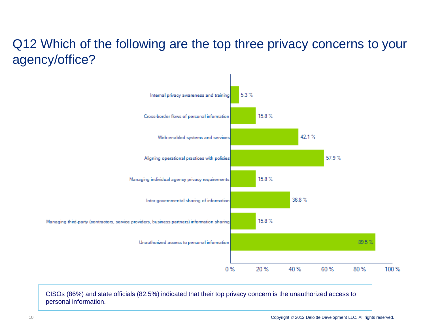#### Q12 Which of the following are the top three privacy concerns to your agency/office?



CISOs (86%) and state officials (82.5%) indicated that their top privacy concern is the unauthorized access to personal information.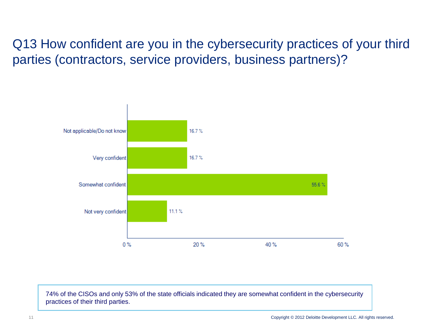Q13 How confident are you in the cybersecurity practices of your third parties (contractors, service providers, business partners)?



74% of the CISOs and only 53% of the state officials indicated they are somewhat confident in the cybersecurity practices of their third parties.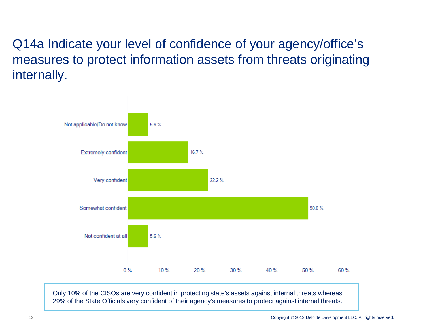Q14a Indicate your level of confidence of your agency/office's measures to protect information assets from threats originating internally.



Only 10% of the CISOs are very confident in protecting state's assets against internal threats whereas 29% of the State Officials very confident of their agency's measures to protect against internal threats.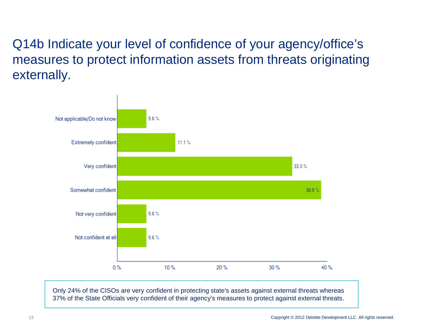#### Q14b Indicate your level of confidence of your agency/office's measures to protect information assets from threats originating externally.



Only 24% of the CISOs are very confident in protecting state's assets against external threats whereas 37% of the State Officials very confident of their agency's measures to protect against external threats.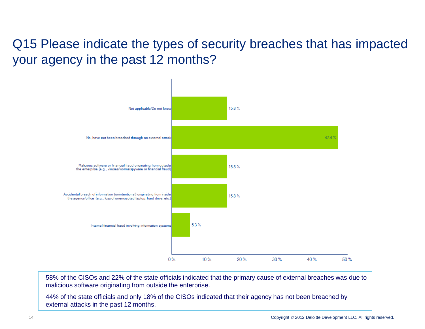#### Q15 Please indicate the types of security breaches that has impacted your agency in the past 12 months?



58% of the CISOs and 22% of the state officials indicated that the primary cause of external breaches was due to malicious software originating from outside the enterprise.

44% of the state officials and only 18% of the CISOs indicated that their agency has not been breached by external attacks in the past 12 months.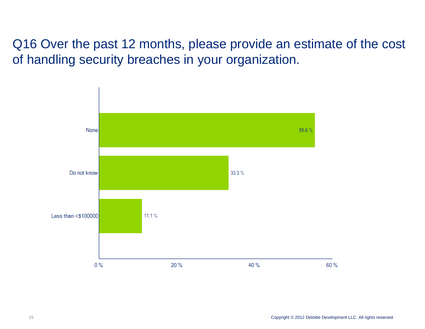Q16 Over the past 12 months, please provide an estimate of the cost of handling security breaches in your organization.

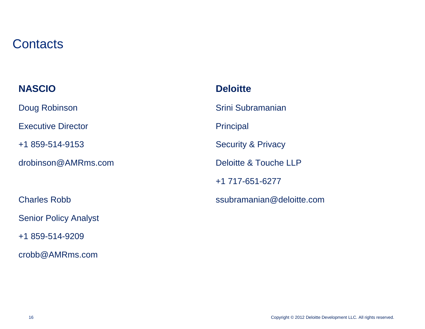#### **Contacts**

| <b>NASCIO</b>                | <b>Deloitte</b>               |
|------------------------------|-------------------------------|
| Doug Robinson                | Srini Subramanian             |
| <b>Executive Director</b>    | <b>Principal</b>              |
| +1 859-514-9153              | <b>Security &amp; Privacy</b> |
| drobinson@AMRms.com          | Deloitte & Touche LLP         |
|                              | +1 717-651-6277               |
| <b>Charles Robb</b>          | ssubramanian@deloitte.com     |
| <b>Senior Policy Analyst</b> |                               |
| +1 859-514-9209              |                               |

crobb@AMRms.com